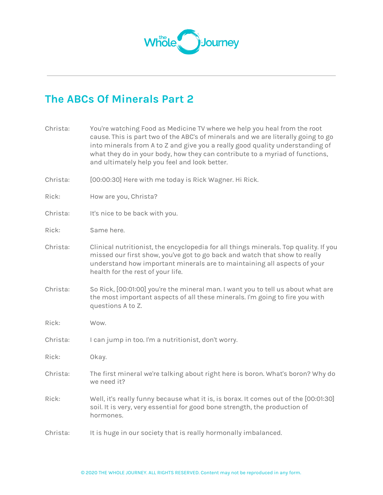

## **The ABCs Of Minerals Part 2**

| Christa: | You're watching Food as Medicine TV where we help you heal from the root<br>cause. This is part two of the ABC's of minerals and we are literally going to go<br>into minerals from A to Z and give you a really good quality understanding of<br>what they do in your body, how they can contribute to a myriad of functions,<br>and ultimately help you feel and look better. |
|----------|---------------------------------------------------------------------------------------------------------------------------------------------------------------------------------------------------------------------------------------------------------------------------------------------------------------------------------------------------------------------------------|
| Christa: | [00:00:30] Here with me today is Rick Wagner. Hi Rick.                                                                                                                                                                                                                                                                                                                          |
| Rick:    | How are you, Christa?                                                                                                                                                                                                                                                                                                                                                           |
| Christa: | It's nice to be back with you.                                                                                                                                                                                                                                                                                                                                                  |
| Rick:    | Same here.                                                                                                                                                                                                                                                                                                                                                                      |
| Christa: | Clinical nutritionist, the encyclopedia for all things minerals. Top quality. If you<br>missed our first show, you've got to go back and watch that show to really<br>understand how important minerals are to maintaining all aspects of your<br>health for the rest of your life.                                                                                             |
| Christa: | So Rick, [00:01:00] you're the mineral man. I want you to tell us about what are<br>the most important aspects of all these minerals. I'm going to fire you with<br>questions A to Z.                                                                                                                                                                                           |
| Rick:    | Wow.                                                                                                                                                                                                                                                                                                                                                                            |
| Christa: | I can jump in too. I'm a nutritionist, don't worry.                                                                                                                                                                                                                                                                                                                             |
| Rick:    | Okay.                                                                                                                                                                                                                                                                                                                                                                           |
| Christa: | The first mineral we're talking about right here is boron. What's boron? Why do<br>we need it?                                                                                                                                                                                                                                                                                  |
| Rick:    | Well, it's really funny because what it is, is borax. It comes out of the [00:01:30]<br>soil. It is very, very essential for good bone strength, the production of<br>hormones.                                                                                                                                                                                                 |
| Christa: | It is huge in our society that is really hormonally imbalanced.                                                                                                                                                                                                                                                                                                                 |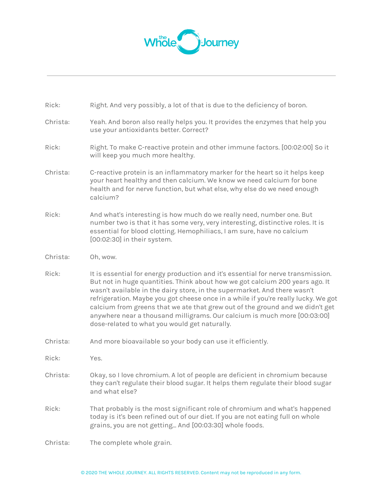

| Rick:    | Right. And very possibly, a lot of that is due to the deficiency of boron.                                                                                                                                                                                                                                                                                                                                                                                                                                                                        |
|----------|---------------------------------------------------------------------------------------------------------------------------------------------------------------------------------------------------------------------------------------------------------------------------------------------------------------------------------------------------------------------------------------------------------------------------------------------------------------------------------------------------------------------------------------------------|
| Christa: | Yeah. And boron also really helps you. It provides the enzymes that help you<br>use your antioxidants better. Correct?                                                                                                                                                                                                                                                                                                                                                                                                                            |
| Rick:    | Right. To make C-reactive protein and other immune factors. [00:02:00] So it<br>will keep you much more healthy.                                                                                                                                                                                                                                                                                                                                                                                                                                  |
| Christa: | C-reactive protein is an inflammatory marker for the heart so it helps keep<br>your heart healthy and then calcium. We know we need calcium for bone<br>health and for nerve function, but what else, why else do we need enough<br>calcium?                                                                                                                                                                                                                                                                                                      |
| Rick:    | And what's interesting is how much do we really need, number one. But<br>number two is that it has some very, very interesting, distinctive roles. It is<br>essential for blood clotting. Hemophiliacs, I am sure, have no calcium<br>[00:02:30] in their system.                                                                                                                                                                                                                                                                                 |
| Christa: | Oh, wow.                                                                                                                                                                                                                                                                                                                                                                                                                                                                                                                                          |
| Rick:    | It is essential for energy production and it's essential for nerve transmission.<br>But not in huge quantities. Think about how we got calcium 200 years ago. It<br>wasn't available in the dairy store, in the supermarket. And there wasn't<br>refrigeration. Maybe you got cheese once in a while if you're really lucky. We got<br>calcium from greens that we ate that grew out of the ground and we didn't get<br>anywhere near a thousand milligrams. Our calcium is much more [00:03:00]<br>dose-related to what you would get naturally. |
| Christa: | And more bioavailable so your body can use it efficiently.                                                                                                                                                                                                                                                                                                                                                                                                                                                                                        |
| Rick:    | Yes.                                                                                                                                                                                                                                                                                                                                                                                                                                                                                                                                              |
| Christa: | Okay, so I love chromium. A lot of people are deficient in chromium because<br>they can't regulate their blood sugar. It helps them regulate their blood sugar<br>and what else?                                                                                                                                                                                                                                                                                                                                                                  |
| Rick:    | That probably is the most significant role of chromium and what's happened<br>today is it's been refined out of our diet. If you are not eating full on whole<br>grains, you are not getting And [00:03:30] whole foods.                                                                                                                                                                                                                                                                                                                          |
| Christa: | The complete whole grain.                                                                                                                                                                                                                                                                                                                                                                                                                                                                                                                         |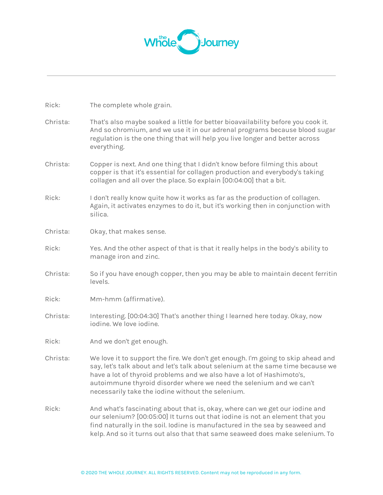

Rick: The complete whole grain.

| Christa: | That's also maybe soaked a little for better bioavailability before you cook it.<br>And so chromium, and we use it in our adrenal programs because blood sugar<br>regulation is the one thing that will help you live longer and better across<br>everything.                                                                                                            |
|----------|--------------------------------------------------------------------------------------------------------------------------------------------------------------------------------------------------------------------------------------------------------------------------------------------------------------------------------------------------------------------------|
| Christa: | Copper is next. And one thing that I didn't know before filming this about<br>copper is that it's essential for collagen production and everybody's taking<br>collagen and all over the place. So explain [00:04:00] that a bit.                                                                                                                                         |
| Rick:    | I don't really know quite how it works as far as the production of collagen.<br>Again, it activates enzymes to do it, but it's working then in conjunction with<br>silica.                                                                                                                                                                                               |
| Christa: | Okay, that makes sense.                                                                                                                                                                                                                                                                                                                                                  |
| Rick:    | Yes. And the other aspect of that is that it really helps in the body's ability to<br>manage iron and zinc.                                                                                                                                                                                                                                                              |
| Christa: | So if you have enough copper, then you may be able to maintain decent ferritin<br>levels.                                                                                                                                                                                                                                                                                |
| Rick:    | Mm-hmm (affirmative).                                                                                                                                                                                                                                                                                                                                                    |
| Christa: | Interesting. [00:04:30] That's another thing I learned here today. Okay, now<br>iodine. We love iodine.                                                                                                                                                                                                                                                                  |
| Rick:    | And we don't get enough.                                                                                                                                                                                                                                                                                                                                                 |
| Christa: | We love it to support the fire. We don't get enough. I'm going to skip ahead and<br>say, let's talk about and let's talk about selenium at the same time because we<br>have a lot of thyroid problems and we also have a lot of Hashimoto's,<br>autoimmune thyroid disorder where we need the selenium and we can't<br>necessarily take the iodine without the selenium. |
| Rick:    | And what's fascinating about that is, okay, where can we get our iodine and<br>our selenium? [00:05:00] It turns out that iodine is not an element that you<br>find naturally in the soil. Iodine is manufactured in the sea by seaweed and<br>kelp. And so it turns out also that that same seaweed does make selenium. To                                              |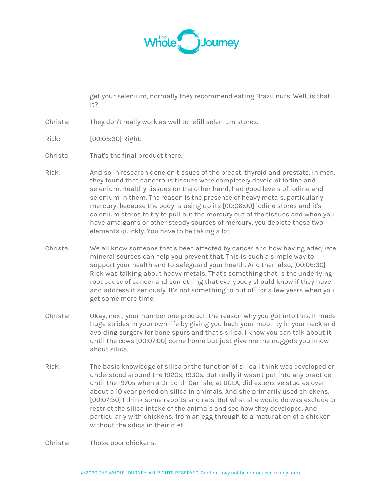

get your selenium, normally they recommend eating Brazil nuts. Well, is that it?

- Christa: They don't really work as well to refill selenium stores.
- Rick: [00:05:30] Right.
- Christa: That's the final product there.
- Rick: And so in research done on tissues of the breast, thyroid and prostate, in men, they found that cancerous tissues were completely devoid of iodine and selenium. Healthy tissues on the other hand, had good levels of iodine and selenium in them. The reason is the presence of heavy metals, particularly mercury, because the body is using up its [00:06:00] iodine stores and it's selenium stores to try to pull out the mercury out of the tissues and when you have amalgams or other steady sources of mercury, you deplete those two elements quickly. You have to be taking a lot.
- Christa: We all know someone that's been affected by cancer and how having adequate mineral sources can help you prevent that. This is such a simple way to support your health and to safeguard your health. And then also, [00:06:30] Rick was talking about heavy metals. That's something that is the underlying root cause of cancer and something that everybody should know if they have and address it seriously. It's not something to put off for a few years when you get some more time.
- Christa: Okay, next, your number one product, the reason why you got into this. It made huge strides in your own life by giving you back your mobility in your neck and avoiding surgery for bone spurs and that's silica. I know you can talk about it until the cows [00:07:00] come home but just give me the nuggets you know about silica.
- Rick: The basic knowledge of silica or the function of silica I think was developed or understood around the 1920s, 1930s. But really it wasn't put into any practice until the 1970s when a Dr Edith Carlisle, at UCLA, did extensive studies over about a 10 year period on silica in animals. And she primarily used chickens, [00:07:30] I think some rabbits and rats. But what she would do was exclude or restrict the silica intake of the animals and see how they developed. And particularly with chickens, from an egg through to a maturation of a chicken without the silica in their diet...

Christa: Those poor chickens.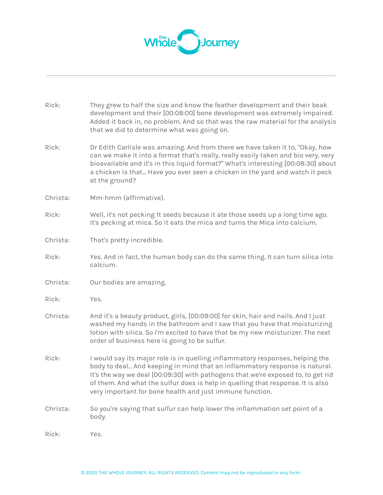

| Rick:    | They grew to half the size and know the feather development and their beak<br>development and their [00:08:00] bone development was extremely impaired.<br>Added it back in, no problem. And so that was the raw material for the analysis<br>that we did to determine what was going on.                                                                                                      |
|----------|------------------------------------------------------------------------------------------------------------------------------------------------------------------------------------------------------------------------------------------------------------------------------------------------------------------------------------------------------------------------------------------------|
| Rick:    | Dr Edith Carlisle was amazing. And from there we have taken it to, "Okay, how<br>can we make it into a format that's really, really easily taken and bio very, very<br>bioavailable and it's in this liquid format?" What's interesting [00:08:30] about<br>a chicken is that Have you ever seen a chicken in the yard and watch it peck<br>at the ground?                                     |
| Christa: | Mm-hmm (affirmative).                                                                                                                                                                                                                                                                                                                                                                          |
| Rick:    | Well, it's not pecking 1t seeds because it ate those seeds up a long time ago.<br>It's pecking at mica. So it eats the mica and turns the Mica into calcium.                                                                                                                                                                                                                                   |
| Christa: | That's pretty incredible.                                                                                                                                                                                                                                                                                                                                                                      |
| Rick:    | Yes. And in fact, the human body can do the same thing. It can turn silica into<br>calcium.                                                                                                                                                                                                                                                                                                    |
| Christa: | Our bodies are amazing.                                                                                                                                                                                                                                                                                                                                                                        |
| Rick:    | Yes.                                                                                                                                                                                                                                                                                                                                                                                           |
| Christa: | And it's a beauty product, girls, [00:09:00] for skin, hair and nails. And I just<br>washed my hands in the bathroom and I saw that you have that moisturizing<br>lotion with silica. So I'm excited to have that be my new moisturizer. The next<br>order of business here is going to be sulfur.                                                                                             |
| Rick:    | I would say its major role is in quelling inflammatory responses, helping the<br>body to deal And keeping in mind that an inflammatory response is natural.<br>It's the way we deal [00:09:30] with pathogens that we're exposed to, to get rid<br>of them. And what the sulfur does is help in quelling that response. It is also<br>very important for bone health and just immune function. |
| Christa: | So you're saying that sulfur can help lower the inflammation set point of a<br>body.                                                                                                                                                                                                                                                                                                           |
| Rick:    | Yes.                                                                                                                                                                                                                                                                                                                                                                                           |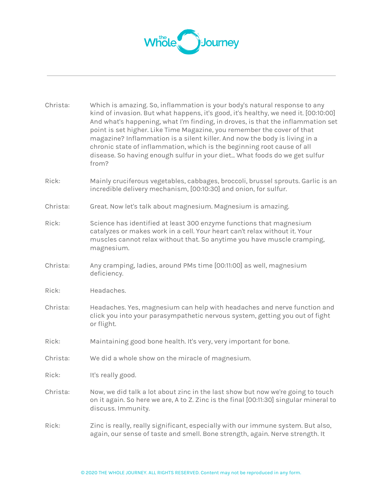

| Christa: | Which is amazing. So, inflammation is your body's natural response to any<br>kind of invasion. But what happens, it's good, it's healthy, we need it. [00:10:00]<br>And what's happening, what I'm finding, in droves, is that the inflammation set<br>point is set higher. Like Time Magazine, you remember the cover of that<br>magazine? Inflammation is a silent killer. And now the body is living in a<br>chronic state of inflammation, which is the beginning root cause of all<br>disease. So having enough sulfur in your diet What foods do we get sulfur<br>from? |
|----------|-------------------------------------------------------------------------------------------------------------------------------------------------------------------------------------------------------------------------------------------------------------------------------------------------------------------------------------------------------------------------------------------------------------------------------------------------------------------------------------------------------------------------------------------------------------------------------|
| Rick:    | Mainly cruciferous vegetables, cabbages, broccoli, brussel sprouts. Garlic is an<br>incredible delivery mechanism, [00:10:30] and onion, for sulfur.                                                                                                                                                                                                                                                                                                                                                                                                                          |
| Christa: | Great. Now let's talk about magnesium. Magnesium is amazing.                                                                                                                                                                                                                                                                                                                                                                                                                                                                                                                  |
| Rick:    | Science has identified at least 300 enzyme functions that magnesium<br>catalyzes or makes work in a cell. Your heart can't relax without it. Your<br>muscles cannot relax without that. So anytime you have muscle cramping,<br>magnesium.                                                                                                                                                                                                                                                                                                                                    |
| Christa: | Any cramping, ladies, around PMs time [00:11:00] as well, magnesium<br>deficiency.                                                                                                                                                                                                                                                                                                                                                                                                                                                                                            |
| Rick:    | Headaches.                                                                                                                                                                                                                                                                                                                                                                                                                                                                                                                                                                    |
| Christa: | Headaches. Yes, magnesium can help with headaches and nerve function and<br>click you into your parasympathetic nervous system, getting you out of fight<br>or flight.                                                                                                                                                                                                                                                                                                                                                                                                        |
| Rick:    | Maintaining good bone health. It's very, very important for bone.                                                                                                                                                                                                                                                                                                                                                                                                                                                                                                             |
| Christa: | We did a whole show on the miracle of magnesium.                                                                                                                                                                                                                                                                                                                                                                                                                                                                                                                              |
| Rick:    | It's really good.                                                                                                                                                                                                                                                                                                                                                                                                                                                                                                                                                             |
| Christa: | Now, we did talk a lot about zinc in the last show but now we're going to touch<br>on it again. So here we are, A to Z. Zinc is the final [00:11:30] singular mineral to<br>discuss. Immunity.                                                                                                                                                                                                                                                                                                                                                                                |
| Rick:    | Zinc is really, really significant, especially with our immune system. But also,<br>again, our sense of taste and smell. Bone strength, again. Nerve strength. It                                                                                                                                                                                                                                                                                                                                                                                                             |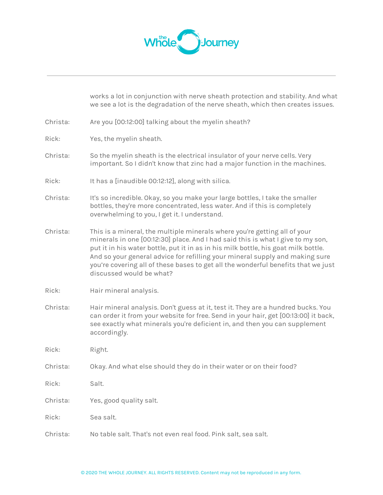

|          | works a lot in conjunction with nerve sheath protection and stability. And what<br>we see a lot is the degradation of the nerve sheath, which then creates issues.                                                                                                                                                                                                                                                                                  |
|----------|-----------------------------------------------------------------------------------------------------------------------------------------------------------------------------------------------------------------------------------------------------------------------------------------------------------------------------------------------------------------------------------------------------------------------------------------------------|
| Christa: | Are you [00:12:00] talking about the myelin sheath?                                                                                                                                                                                                                                                                                                                                                                                                 |
| Rick:    | Yes, the myelin sheath.                                                                                                                                                                                                                                                                                                                                                                                                                             |
| Christa: | So the myelin sheath is the electrical insulator of your nerve cells. Very<br>important. So I didn't know that zinc had a major function in the machines.                                                                                                                                                                                                                                                                                           |
| Rick:    | It has a [inaudible 00:12:12], along with silica.                                                                                                                                                                                                                                                                                                                                                                                                   |
| Christa: | It's so incredible. Okay, so you make your large bottles, I take the smaller<br>bottles, they're more concentrated, less water. And if this is completely<br>overwhelming to you, I get it. I understand.                                                                                                                                                                                                                                           |
| Christa: | This is a mineral, the multiple minerals where you're getting all of your<br>minerals in one [00:12:30] place. And I had said this is what I give to my son,<br>put it in his water bottle, put it in as in his milk bottle, his goat milk bottle.<br>And so your general advice for refilling your mineral supply and making sure<br>you're covering all of these bases to get all the wonderful benefits that we just<br>discussed would be what? |
| Rick:    | Hair mineral analysis.                                                                                                                                                                                                                                                                                                                                                                                                                              |
| Christa: | Hair mineral analysis. Don't guess at it, test it. They are a hundred bucks. You<br>can order it from your website for free. Send in your hair, get [00:13:00] it back,<br>see exactly what minerals you're deficient in, and then you can supplement<br>accordingly.                                                                                                                                                                               |
| Rick:    | Right.                                                                                                                                                                                                                                                                                                                                                                                                                                              |
| Christa: | Okay. And what else should they do in their water or on their food?                                                                                                                                                                                                                                                                                                                                                                                 |
| Rick:    | Salt.                                                                                                                                                                                                                                                                                                                                                                                                                                               |
| Christa: | Yes, good quality salt.                                                                                                                                                                                                                                                                                                                                                                                                                             |
| Rick:    | Sea salt.                                                                                                                                                                                                                                                                                                                                                                                                                                           |
| Christa: | No table salt. That's not even real food. Pink salt, sea salt.                                                                                                                                                                                                                                                                                                                                                                                      |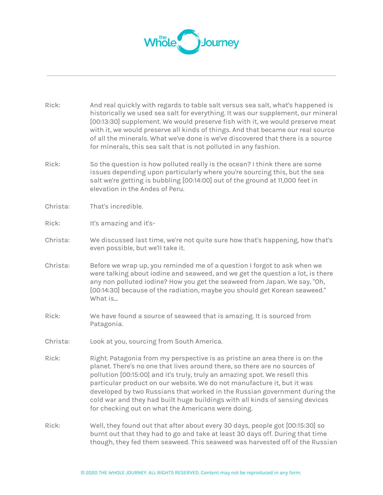

| Rick:    | And real quickly with regards to table salt versus sea salt, what's happened is<br>historically we used sea salt for everything. It was our supplement, our mineral<br>[00:13:30] supplement. We would preserve fish with it, we would preserve meat<br>with it, we would preserve all kinds of things. And that became our real source<br>of all the minerals. What we've done is we've discovered that there is a source<br>for minerals, this sea salt that is not polluted in any fashion.                                         |
|----------|----------------------------------------------------------------------------------------------------------------------------------------------------------------------------------------------------------------------------------------------------------------------------------------------------------------------------------------------------------------------------------------------------------------------------------------------------------------------------------------------------------------------------------------|
| Rick:    | So the question is how polluted really is the ocean? I think there are some<br>issues depending upon particularly where you're sourcing this, but the sea<br>salt we're getting is bubbling [00:14:00] out of the ground at 11,000 feet in<br>elevation in the Andes of Peru.                                                                                                                                                                                                                                                          |
| Christa: | That's incredible.                                                                                                                                                                                                                                                                                                                                                                                                                                                                                                                     |
| Rick:    | It's amazing and it's-                                                                                                                                                                                                                                                                                                                                                                                                                                                                                                                 |
| Christa: | We discussed last time, we're not quite sure how that's happening, how that's<br>even possible, but we'll take it.                                                                                                                                                                                                                                                                                                                                                                                                                     |
| Christa: | Before we wrap up, you reminded me of a question I forgot to ask when we<br>were talking about iodine and seaweed, and we get the question a lot, is there<br>any non polluted iodine? How you get the seaweed from Japan. We say, "Oh,<br>[00:14:30] because of the radiation, maybe you should get Korean seaweed."<br>What is                                                                                                                                                                                                       |
| Rick:    | We have found a source of seaweed that is amazing. It is sourced from<br>Patagonia.                                                                                                                                                                                                                                                                                                                                                                                                                                                    |
| Christa: | Look at you, sourcing from South America.                                                                                                                                                                                                                                                                                                                                                                                                                                                                                              |
| Rick:    | Right. Patagonia from my perspective is as pristine an area there is on the<br>planet. There's no one that lives around there, so there are no sources of<br>pollution [00:15:00] and it's truly, truly an amazing spot. We resell this<br>particular product on our website. We do not manufacture it, but it was<br>developed by two Russians that worked in the Russian government during the<br>cold war and they had built huge buildings with all kinds of sensing devices<br>for checking out on what the Americans were doing. |
| Rick:    | Well, they found out that after about every 30 days, people got [00:15:30] so<br>burnt out that they had to go and take at least 30 days off. During that time<br>though, they fed them seaweed. This seaweed was harvested off of the Russian                                                                                                                                                                                                                                                                                         |